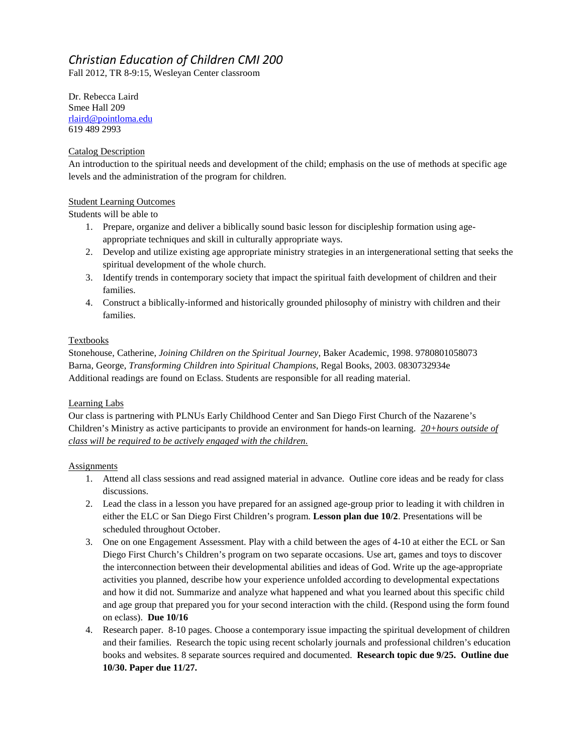# *Christian Education of Children CMI 200*

Fall 2012, TR 8-9:15, Wesleyan Center classroom

Dr. Rebecca Laird Smee Hall 209 [rlaird@pointloma.edu](mailto:rlaird@pointloma.edu) 619 489 2993

# Catalog Description

An introduction to the spiritual needs and development of the child; emphasis on the use of methods at specific age levels and the administration of the program for children.

# Student Learning Outcomes

Students will be able to

- 1. Prepare, organize and deliver a biblically sound basic lesson for discipleship formation using ageappropriate techniques and skill in culturally appropriate ways.
- 2. Develop and utilize existing age appropriate ministry strategies in an intergenerational setting that seeks the spiritual development of the whole church.
- 3. Identify trends in contemporary society that impact the spiritual faith development of children and their families.
- 4. Construct a biblically-informed and historically grounded philosophy of ministry with children and their families.

# Textbooks

Stonehouse, Catherine, *Joining Children on the Spiritual Journey*, Baker Academic, 1998. 9780801058073 Barna, George, *Transforming Children into Spiritual Champions*, Regal Books, 2003. 0830732934e Additional readings are found on Eclass. Students are responsible for all reading material.

## Learning Labs

Our class is partnering with PLNUs Early Childhood Center and San Diego First Church of the Nazarene's Children's Ministry as active participants to provide an environment for hands-on learning. *20+hours outside of class will be required to be actively engaged with the children.* 

## **Assignments**

- 1. Attend all class sessions and read assigned material in advance. Outline core ideas and be ready for class discussions.
- 2. Lead the class in a lesson you have prepared for an assigned age-group prior to leading it with children in either the ELC or San Diego First Children's program. **Lesson plan due 10/2**. Presentations will be scheduled throughout October.
- 3. One on one Engagement Assessment. Play with a child between the ages of 4-10 at either the ECL or San Diego First Church's Children's program on two separate occasions. Use art, games and toys to discover the interconnection between their developmental abilities and ideas of God. Write up the age-appropriate activities you planned, describe how your experience unfolded according to developmental expectations and how it did not. Summarize and analyze what happened and what you learned about this specific child and age group that prepared you for your second interaction with the child. (Respond using the form found on eclass). **Due 10/16**
- 4. Research paper. 8-10 pages. Choose a contemporary issue impacting the spiritual development of children and their families. Research the topic using recent scholarly journals and professional children's education books and websites. 8 separate sources required and documented. **Research topic due 9/25. Outline due 10/30. Paper due 11/27.**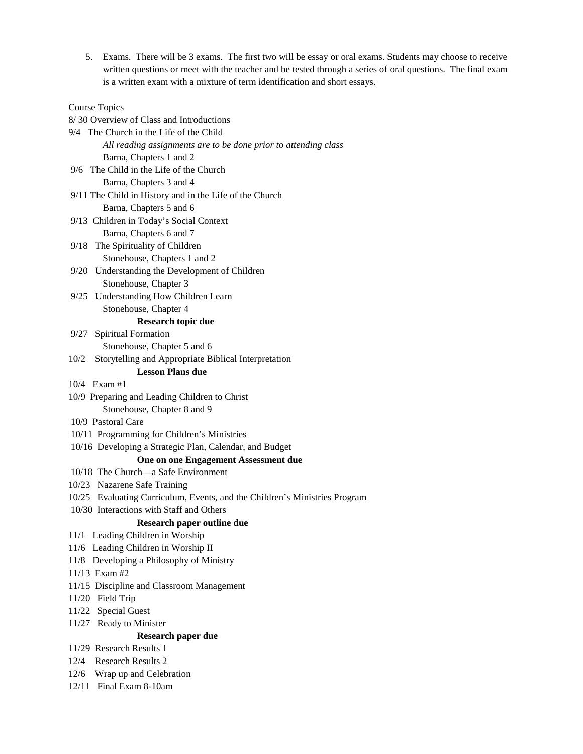5. Exams. There will be 3 exams. The first two will be essay or oral exams. Students may choose to receive written questions or meet with the teacher and be tested through a series of oral questions. The final exam is a written exam with a mixture of term identification and short essays.

#### Course Topics

8/ 30 Overview of Class and Introductions

- 9/4 The Church in the Life of the Child *All reading assignments are to be done prior to attending class* Barna, Chapters 1 and 2
- 9/6 The Child in the Life of the Church Barna, Chapters 3 and 4
- 9/11 The Child in History and in the Life of the Church Barna, Chapters 5 and 6
- 9/13 Children in Today's Social Context Barna, Chapters 6 and 7
- 9/18 The Spirituality of Children Stonehouse, Chapters 1 and 2
- 9/20 Understanding the Development of Children Stonehouse, Chapter 3
- 9/25 Understanding How Children Learn Stonehouse, Chapter 4

#### **Research topic due**

- 9/27 Spiritual Formation Stonehouse, Chapter 5 and 6
- 10/2 Storytelling and Appropriate Biblical Interpretation

### **Lesson Plans due**

- 10/4 Exam #1
- 10/9 Preparing and Leading Children to Christ

Stonehouse, Chapter 8 and 9

- 10/9 Pastoral Care
- 10/11 Programming for Children's Ministries
- 10/16 Developing a Strategic Plan, Calendar, and Budget

### **One on one Engagement Assessment due**

- 10/18 The Church—a Safe Environment
- 10/23 Nazarene Safe Training
- 10/25 Evaluating Curriculum, Events, and the Children's Ministries Program
- 10/30 Interactions with Staff and Others

### **Research paper outline due**

- 11/1 Leading Children in Worship
- 11/6 Leading Children in Worship II
- 11/8 Developing a Philosophy of Ministry
- 11/13 Exam #2
- 11/15 Discipline and Classroom Management
- 11/20 Field Trip
- 11/22 Special Guest
- 11/27 Ready to Minister

#### **Research paper due**

- 11/29 Research Results 1
- 12/4 Research Results 2
- 12/6 Wrap up and Celebration
- 12/11 Final Exam 8-10am